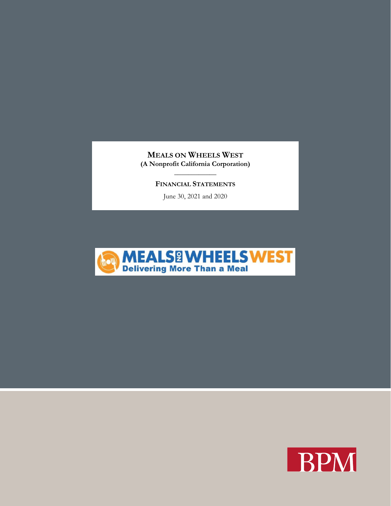## \_\_\_\_\_\_\_\_\_\_\_\_ **FINANCIAL STATEMENTS**

June 30, 2021 and 2020



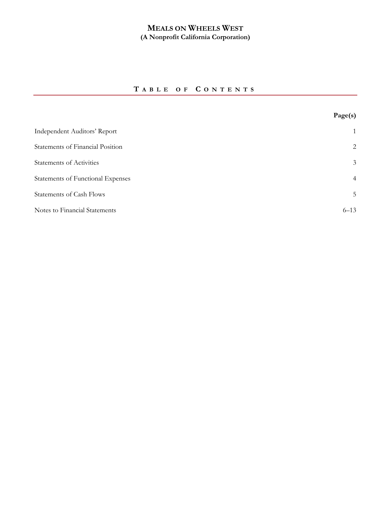## **T ABLE OF C ONTENTS**

|                                   | Page(s)        |
|-----------------------------------|----------------|
| Independent Auditors' Report      |                |
| Statements of Financial Position  | 2              |
| <b>Statements of Activities</b>   | $\mathfrak{Z}$ |
| Statements of Functional Expenses | $\overline{4}$ |
| <b>Statements of Cash Flows</b>   | 5              |
| Notes to Financial Statements     | $6 - 13$       |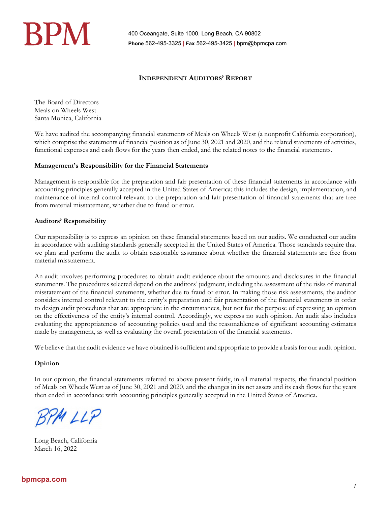

400 Oceangate, Suite 1000, Long Beach, CA 90802 **Phone** 562-495-3325 | **Fax** 562-495-3425 | bpm@bpmcpa.com

#### **INDEPENDENT AUDITORS' REPORT**

The Board of Directors Meals on Wheels West Santa Monica, California

We have audited the accompanying financial statements of Meals on Wheels West (a nonprofit California corporation), which comprise the statements of financial position as of June 30, 2021 and 2020, and the related statements of activities, functional expenses and cash flows for the years then ended, and the related notes to the financial statements.

#### **Management's Responsibility for the Financial Statements**

Management is responsible for the preparation and fair presentation of these financial statements in accordance with accounting principles generally accepted in the United States of America; this includes the design, implementation, and maintenance of internal control relevant to the preparation and fair presentation of financial statements that are free from material misstatement, whether due to fraud or error.

#### **Auditors' Responsibility**

Our responsibility is to express an opinion on these financial statements based on our audits. We conducted our audits in accordance with auditing standards generally accepted in the United States of America. Those standards require that we plan and perform the audit to obtain reasonable assurance about whether the financial statements are free from material misstatement.

An audit involves performing procedures to obtain audit evidence about the amounts and disclosures in the financial statements. The procedures selected depend on the auditors' judgment, including the assessment of the risks of material misstatement of the financial statements, whether due to fraud or error. In making those risk assessments, the auditor considers internal control relevant to the entity's preparation and fair presentation of the financial statements in order to design audit procedures that are appropriate in the circumstances, but not for the purpose of expressing an opinion on the effectiveness of the entity's internal control. Accordingly, we express no such opinion. An audit also includes evaluating the appropriateness of accounting policies used and the reasonableness of significant accounting estimates made by management, as well as evaluating the overall presentation of the financial statements.

We believe that the audit evidence we have obtained is sufficient and appropriate to provide a basis for our audit opinion.

#### **Opinion**

In our opinion, the financial statements referred to above present fairly, in all material respects, the financial position of Meals on Wheels West as of June 30, 2021 and 2020, and the changes in its net assets and its cash flows for the years then ended in accordance with accounting principles generally accepted in the United States of America.

BPM LLP

Long Beach, California March 16, 2022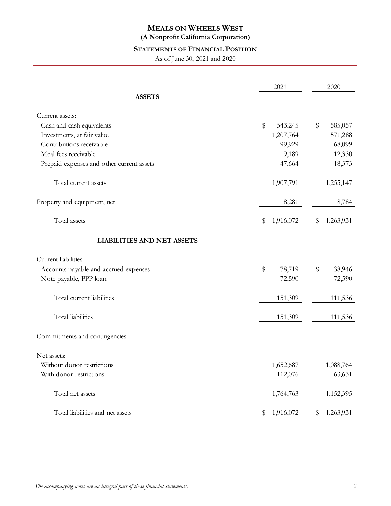### **STATEMENTS OF FINANCIAL POSITION**

As of June 30, 2021 and 2020

|                                           | 2021            | 2020            |  |
|-------------------------------------------|-----------------|-----------------|--|
| <b>ASSETS</b>                             |                 |                 |  |
| Current assets:                           |                 |                 |  |
| Cash and cash equivalents                 | \$<br>543,245   | \$<br>585,057   |  |
| Investments, at fair value                | 1,207,764       | 571,288         |  |
| Contributions receivable                  | 99,929          | 68,099          |  |
| Meal fees receivable                      | 9,189           | 12,330          |  |
| Prepaid expenses and other current assets | 47,664          | 18,373          |  |
| Total current assets                      | 1,907,791       | 1,255,147       |  |
| Property and equipment, net               | 8,281           | 8,784           |  |
| Total assets                              | 1,916,072<br>\$ | 1,263,931<br>\$ |  |
| <b>LIABILITIES AND NET ASSETS</b>         |                 |                 |  |
| Current liabilities:                      |                 |                 |  |
| Accounts payable and accrued expenses     | \$<br>78,719    | \$<br>38,946    |  |
| Note payable, PPP loan                    | 72,590          | 72,590          |  |
| Total current liabilities                 | 151,309         | 111,536         |  |
| Total liabilities                         | 151,309         | 111,536         |  |
| Commitments and contingencies             |                 |                 |  |
| Net assets:                               |                 |                 |  |
| Without donor restrictions                | 1,652,687       | 1,088,764       |  |
| With donor restrictions                   | 112,076         | 63,631          |  |
| Total net assets                          | 1,764,763       | 1,152,395       |  |
| Total liabilities and net assets          | 1,916,072<br>Ş  | 1,263,931       |  |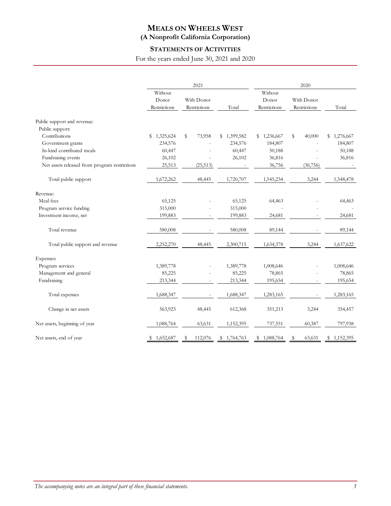### **STATEMENTS OF ACTIVITIES**

For the years ended June 30, 2021 and 2020

|                                               | 2021           |               |             | 2020            |              |             |
|-----------------------------------------------|----------------|---------------|-------------|-----------------|--------------|-------------|
|                                               | Without        |               |             | Without         |              |             |
|                                               | Donor          | With Donor    |             | Donor           | With Donor   |             |
|                                               | Restrictions   | Restrictions  | Total       | Restrictions    | Restrictions | Total       |
| Public support and revenue:                   |                |               |             |                 |              |             |
| Public support:                               |                |               |             |                 |              |             |
| Contributions                                 | \$1,325,624    | 73,958<br>\$  | \$1,399,582 | \$1,236,667     | S<br>40,000  | \$1,276,667 |
| Government grants                             | 234,576        |               | 234,576     | 184,807         |              | 184,807     |
| In-kind contributed meals                     | 60,447         |               | 60,447      | 50,188          |              | 50,188      |
| Fundraising events                            | 26,102         |               | 26,102      | 36,816          |              | 36,816      |
| Net assets released from program restrictions | 25,513         | (25, 513)     |             | 36,756          | (36, 756)    |             |
| Total public support                          | 1,672,262      | 48,445        | 1,720,707   | 1,545,234       | 3,244        | 1,548,478   |
| Revenue:                                      |                |               |             |                 |              |             |
| Meal fees                                     | 65,125         |               | 65,125      | 64,463          |              | 64,463      |
| Program service funding                       | 315,000        |               | 315,000     |                 |              |             |
| Investment income, net                        | 199,883        |               | 199,883     | 24,681          |              | 24,681      |
| Total revenue                                 | 580,008        |               | 580,008     | 89,144          |              | 89,144      |
| Total public support and revenue              | 2,252,270      | 48,445        | 2,300,715   | 1,634,378       | 3,244        | 1,637,622   |
| Expenses:                                     |                |               |             |                 |              |             |
| Program services                              | 1,389,778      |               | 1,389,778   | 1,008,646       |              | 1,008,646   |
| Management and general                        | 85,225         |               | 85,225      | 78,865          |              | 78,865      |
| Fundraising                                   | 213,344        |               | 213,344     | 195,654         |              | 195,654     |
| Total expenses                                | 1,688,347      |               | 1,688,347   | 1,283,165       |              | 1,283,165   |
| Change in net assets                          | 563,923        | 48,445        | 612,368     | 351,213         | 3,244        | 354,457     |
| Net assets, beginning of year                 | 1,088,764      | 63,631        | 1,152,395   | 737,551         | 60,387       | 797,938     |
| Net assets, end of year                       | 1,652,687<br>S | 112,076<br>\$ | \$1,764,763 | 1,088,764<br>\$ | s<br>63,631  | \$1,152,395 |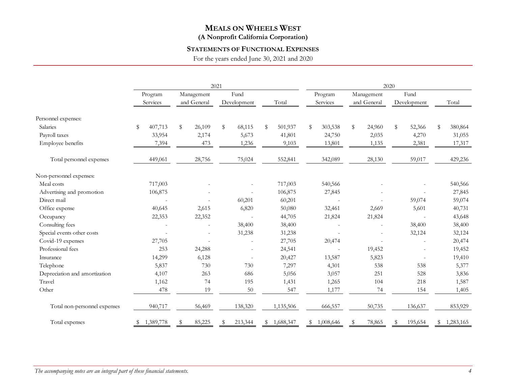#### **STATEMENTS OF FUNCTIONAL EXPENSES**

For the years ended June 30, 2021 and 2020

|                               | 2021            |              |              |                 | 2020            |              |                          |                 |
|-------------------------------|-----------------|--------------|--------------|-----------------|-----------------|--------------|--------------------------|-----------------|
|                               | Program         | Management   | Fund         |                 | Program         | Management   | Fund                     |                 |
|                               | Services        | and General  | Development  | Total           | Services        | and General  | Development              | Total           |
| Personnel expenses:           |                 |              |              |                 |                 |              |                          |                 |
| Salaries                      | \$<br>407,713   | 26,109<br>\$ | \$<br>68,115 | \$<br>501,937   | 303,538<br>\$   | \$<br>24,960 | \$<br>52,366             | 380,864<br>\$   |
| Payroll taxes                 | 33,954          | 2,174        | 5,673        | 41,801          | 24,750          | 2,035        | 4,270                    | 31,055          |
| Employee benefits             | 7,394           | 473          | 1,236        | 9,103           | 13,801          | 1,135        | 2,381                    | 17,317          |
| Total personnel expenses      | 449,061         | 28,756       | 75,024       | 552,841         | 342,089         | 28,130       | 59,017                   | 429,236         |
| Non-personnel expenses:       |                 |              |              |                 |                 |              |                          |                 |
| Meal costs                    | 717,003         |              |              | 717,003         | 540,566         |              |                          | 540,566         |
| Advertising and promotion     | 106,875         |              |              | 106,875         | 27,845          |              |                          | 27,845          |
| Direct mail                   |                 |              | 60,201       | 60,201          |                 |              | 59,074                   | 59,074          |
| Office expense                | 40,645          | 2,615        | 6,820        | 50,080          | 32,461          | 2,669        | 5,601                    | 40,731          |
| Occupancy                     | 22,353          | 22,352       |              | 44,705          | 21,824          | 21,824       | $\overline{\phantom{a}}$ | 43,648          |
| Consulting fees               |                 |              | 38,400       | 38,400          |                 |              | 38,400                   | 38,400          |
| Special events other costs    |                 |              | 31,238       | 31,238          |                 | $\sim$       | 32,124                   | 32,124          |
| Covid-19 expenses             | 27,705          |              |              | 27,705          | 20,474          | $\sim$       | $\overline{a}$           | 20,474          |
| Professional fees             | 253             | 24,288       |              | 24,541          |                 | 19,452       |                          | 19,452          |
| Insurance                     | 14,299          | 6,128        |              | 20,427          | 13,587          | 5,823        |                          | 19,410          |
| Telephone                     | 5,837           | 730          | 730          | 7,297           | 4,301           | 538          | 538                      | 5,377           |
| Depreciation and amortization | 4,107           | 263          | 686          | 5,056           | 3,057           | 251          | 528                      | 3,836           |
| Travel                        | 1,162           | 74           | 195          | 1,431           | 1,265           | 104          | 218                      | 1,587           |
| Other                         | 478             | 19           | 50           | 547             | 1,177           | 74           | 154                      | 1,405           |
| Total non-personnel expenses  | 940,717         | 56,469       | 138,320      | 1,135,506       | 666,557         | 50,735       | 136,637                  | 853,929         |
| Total expenses                | 1,389,778<br>\$ | 85,225       | 213,344      | 1,688,347<br>\$ | 1,008,646<br>\$ | 78,865<br>\$ | 195,654                  | 1,283,165<br>\$ |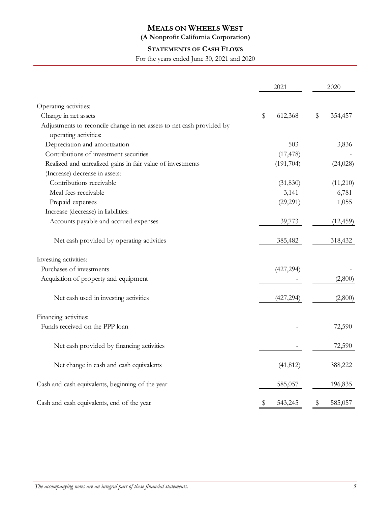### **STATEMENTS OF CASH FLOWS**

For the years ended June 30, 2021 and 2020

|                                                                       | 2021 |            | 2020 |           |
|-----------------------------------------------------------------------|------|------------|------|-----------|
| Operating activities:                                                 |      |            |      |           |
| Change in net assets                                                  | \$   | 612,368    | \$   | 354,457   |
| Adjustments to reconcile change in net assets to net cash provided by |      |            |      |           |
| operating activities:                                                 |      |            |      |           |
| Depreciation and amortization                                         |      | 503        |      | 3,836     |
| Contributions of investment securities                                |      | (17, 478)  |      |           |
| Realized and unrealized gains in fair value of investments            |      | (191, 704) |      | (24, 028) |
| (Increase) decrease in assets:                                        |      |            |      |           |
| Contributions receivable                                              |      | (31, 830)  |      | (11,210)  |
| Meal fees receivable                                                  |      | 3,141      |      | 6,781     |
| Prepaid expenses                                                      |      | (29,291)   |      | 1,055     |
| Increase (decrease) in liabilities:                                   |      |            |      |           |
| Accounts payable and accrued expenses                                 |      | 39,773     |      | (12, 459) |
| Net cash provided by operating activities                             |      | 385,482    |      | 318,432   |
| Investing activities:                                                 |      |            |      |           |
| Purchases of investments                                              |      | (427, 294) |      |           |
| Acquisition of property and equipment                                 |      |            |      | (2,800)   |
| Net cash used in investing activities                                 |      | (427, 294) |      | (2,800)   |
| Financing activities:                                                 |      |            |      |           |
| Funds received on the PPP loan                                        |      |            |      | 72,590    |
| Net cash provided by financing activities                             |      |            |      | 72,590    |
| Net change in cash and cash equivalents                               |      | (41, 812)  |      | 388,222   |
| Cash and cash equivalents, beginning of the year                      |      | 585,057    |      | 196,835   |
| Cash and cash equivalents, end of the year                            | P.   | 543,245    | P    | 585,057   |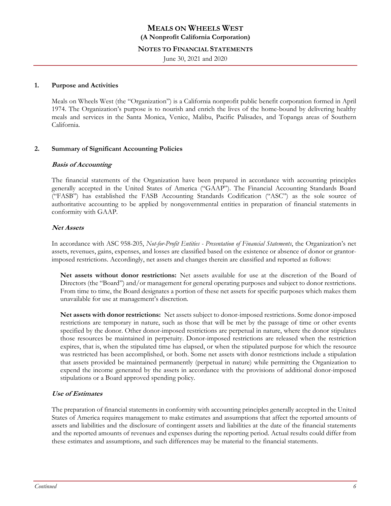#### **NOTES TO FINANCIAL STATEMENTS**

June 30, 2021 and 2020

#### **1. Purpose and Activities**

Meals on Wheels West (the "Organization") is a California nonprofit public benefit corporation formed in April 1974. The Organization's purpose is to nourish and enrich the lives of the home-bound by delivering healthy meals and services in the Santa Monica, Venice, Malibu, Pacific Palisades, and Topanga areas of Southern California.

#### **2. Summary of Significant Accounting Policies**

#### **Basis of Accounting**

The financial statements of the Organization have been prepared in accordance with accounting principles generally accepted in the United States of America ("GAAP"). The Financial Accounting Standards Board ("FASB") has established the FASB Accounting Standards Codification ("ASC") as the sole source of authoritative accounting to be applied by nongovernmental entities in preparation of financial statements in conformity with GAAP.

#### **Net Assets**

In accordance with ASC 958-205, *Not-for-Profit Entities - Presentation of Financial Statements*, the Organization's net assets, revenues, gains, expenses, and losses are classified based on the existence or absence of donor or grantorimposed restrictions. Accordingly, net assets and changes therein are classified and reported as follows:

**Net assets without donor restrictions:** Net assets available for use at the discretion of the Board of Directors (the "Board") and/or management for general operating purposes and subject to donor restrictions. From time to time, the Board designates a portion of these net assets for specific purposes which makes them unavailable for use at management's discretion.

**Net assets with donor restrictions:** Net assets subject to donor-imposed restrictions. Some donor-imposed restrictions are temporary in nature, such as those that will be met by the passage of time or other events specified by the donor. Other donor-imposed restrictions are perpetual in nature, where the donor stipulates those resources be maintained in perpetuity. Donor-imposed restrictions are released when the restriction expires, that is, when the stipulated time has elapsed, or when the stipulated purpose for which the resource was restricted has been accomplished, or both. Some net assets with donor restrictions include a stipulation that assets provided be maintained permanently (perpetual in nature) while permitting the Organization to expend the income generated by the assets in accordance with the provisions of additional donor-imposed stipulations or a Board approved spending policy.

#### **Use of Estimates**

The preparation of financial statements in conformity with accounting principles generally accepted in the United States of America requires management to make estimates and assumptions that affect the reported amounts of assets and liabilities and the disclosure of contingent assets and liabilities at the date of the financial statements and the reported amounts of revenues and expenses during the reporting period. Actual results could differ from these estimates and assumptions, and such differences may be material to the financial statements.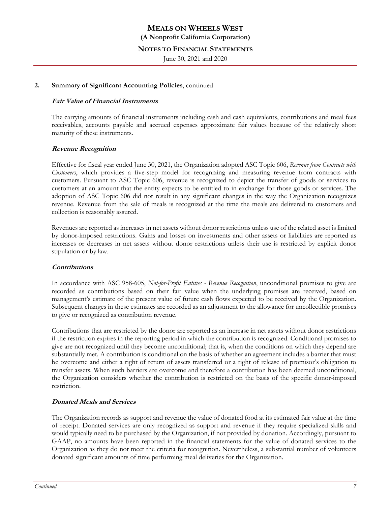#### **NOTES TO FINANCIAL STATEMENTS**

June 30, 2021 and 2020

#### **2. Summary of Significant Accounting Policies**, continued

#### **Fair Value of Financial Instruments**

The carrying amounts of financial instruments including cash and cash equivalents, contributions and meal fees receivables, accounts payable and accrued expenses approximate fair values because of the relatively short maturity of these instruments.

#### **Revenue Recognition**

Effective for fiscal year ended June 30, 2021, the Organization adopted ASC Topic 606, *Revenue from Contracts with Customers*, which provides a five-step model for recognizing and measuring revenue from contracts with customers. Pursuant to ASC Topic 606, revenue is recognized to depict the transfer of goods or services to customers at an amount that the entity expects to be entitled to in exchange for those goods or services. The adoption of ASC Topic 606 did not result in any significant changes in the way the Organization recognizes revenue. Revenue from the sale of meals is recognized at the time the meals are delivered to customers and collection is reasonably assured.

Revenues are reported as increases in net assets without donor restrictions unless use of the related asset is limited by donor-imposed restrictions. Gains and losses on investments and other assets or liabilities are reported as increases or decreases in net assets without donor restrictions unless their use is restricted by explicit donor stipulation or by law.

#### **Contributions**

In accordance with ASC 958-605, *Not-for-Profit Entities - Revenue Recognition*, unconditional promises to give are recorded as contributions based on their fair value when the underlying promises are received, based on management's estimate of the present value of future cash flows expected to be received by the Organization. Subsequent changes in these estimates are recorded as an adjustment to the allowance for uncollectible promises to give or recognized as contribution revenue.

Contributions that are restricted by the donor are reported as an increase in net assets without donor restrictions if the restriction expires in the reporting period in which the contribution is recognized. Conditional promises to give are not recognized until they become unconditional; that is, when the conditions on which they depend are substantially met. A contribution is conditional on the basis of whether an agreement includes a barrier that must be overcome and either a right of return of assets transferred or a right of release of promisor's obligation to transfer assets. When such barriers are overcome and therefore a contribution has been deemed unconditional, the Organization considers whether the contribution is restricted on the basis of the specific donor-imposed restriction.

#### **Donated Meals and Services**

The Organization records as support and revenue the value of donated food at its estimated fair value at the time of receipt. Donated services are only recognized as support and revenue if they require specialized skills and would typically need to be purchased by the Organization, if not provided by donation. Accordingly, pursuant to GAAP, no amounts have been reported in the financial statements for the value of donated services to the Organization as they do not meet the criteria for recognition. Nevertheless, a substantial number of volunteers donated significant amounts of time performing meal deliveries for the Organization.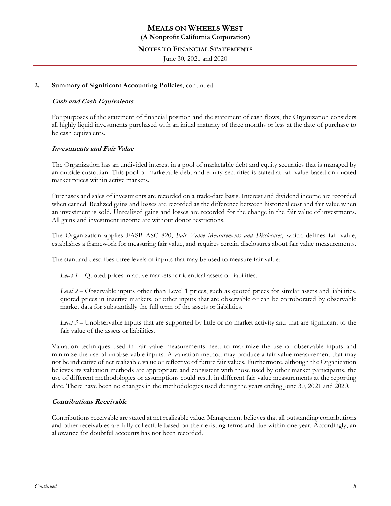#### **NOTES TO FINANCIAL STATEMENTS**

June 30, 2021 and 2020

#### **2. Summary of Significant Accounting Policies**, continued

#### **Cash and Cash Equivalents**

For purposes of the statement of financial position and the statement of cash flows, the Organization considers all highly liquid investments purchased with an initial maturity of three months or less at the date of purchase to be cash equivalents.

#### **Investments and Fair Value**

The Organization has an undivided interest in a pool of marketable debt and equity securities that is managed by an outside custodian. This pool of marketable debt and equity securities is stated at fair value based on quoted market prices within active markets.

Purchases and sales of investments are recorded on a trade-date basis. Interest and dividend income are recorded when earned. Realized gains and losses are recorded as the difference between historical cost and fair value when an investment is sold. Unrealized gains and losses are recorded for the change in the fair value of investments. All gains and investment income are without donor restrictions.

The Organization applies FASB ASC 820, *Fair Value Measurements and Disclosures*, which defines fair value, establishes a framework for measuring fair value, and requires certain disclosures about fair value measurements.

The standard describes three levels of inputs that may be used to measure fair value:

*Level 1* – Quoted prices in active markets for identical assets or liabilities.

*Level 2* – Observable inputs other than Level 1 prices, such as quoted prices for similar assets and liabilities, quoted prices in inactive markets, or other inputs that are observable or can be corroborated by observable market data for substantially the full term of the assets or liabilities.

*Level 3* – Unobservable inputs that are supported by little or no market activity and that are significant to the fair value of the assets or liabilities.

Valuation techniques used in fair value measurements need to maximize the use of observable inputs and minimize the use of unobservable inputs. A valuation method may produce a fair value measurement that may not be indicative of net realizable value or reflective of future fair values. Furthermore, although the Organization believes its valuation methods are appropriate and consistent with those used by other market participants, the use of different methodologies or assumptions could result in different fair value measurements at the reporting date. There have been no changes in the methodologies used during the years ending June 30, 2021 and 2020.

#### **Contributions Receivable**

Contributions receivable are stated at net realizable value. Management believes that all outstanding contributions and other receivables are fully collectible based on their existing terms and due within one year. Accordingly, an allowance for doubtful accounts has not been recorded.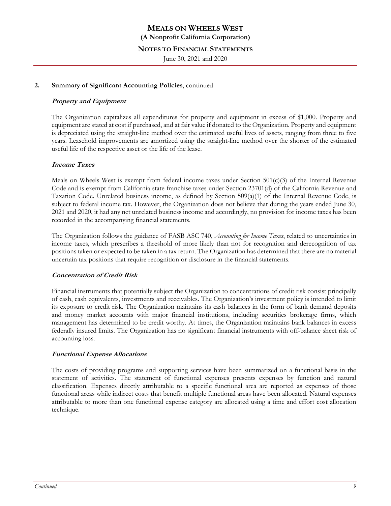#### **NOTES TO FINANCIAL STATEMENTS**

June 30, 2021 and 2020

#### **2. Summary of Significant Accounting Policies**, continued

#### **Property and Equipment**

The Organization capitalizes all expenditures for property and equipment in excess of \$1,000. Property and equipment are stated at cost if purchased, and at fair value if donated to the Organization. Property and equipment is depreciated using the straight-line method over the estimated useful lives of assets, ranging from three to five years. Leasehold improvements are amortized using the straight-line method over the shorter of the estimated useful life of the respective asset or the life of the lease.

#### **Income Taxes**

Meals on Wheels West is exempt from federal income taxes under Section  $501(c)(3)$  of the Internal Revenue Code and is exempt from California state franchise taxes under Section 23701(d) of the California Revenue and Taxation Code. Unrelated business income, as defined by Section 509(a)(1) of the Internal Revenue Code, is subject to federal income tax. However, the Organization does not believe that during the years ended June 30, 2021 and 2020, it had any net unrelated business income and accordingly, no provision for income taxes has been recorded in the accompanying financial statements.

The Organization follows the guidance of FASB ASC 740, *Accounting for Income Taxes*, related to uncertainties in income taxes, which prescribes a threshold of more likely than not for recognition and derecognition of tax positions taken or expected to be taken in a tax return. The Organization has determined that there are no material uncertain tax positions that require recognition or disclosure in the financial statements.

#### **Concentration of Credit Risk**

Financial instruments that potentially subject the Organization to concentrations of credit risk consist principally of cash, cash equivalents, investments and receivables. The Organization's investment policy is intended to limit its exposure to credit risk. The Organization maintains its cash balances in the form of bank demand deposits and money market accounts with major financial institutions, including securities brokerage firms, which management has determined to be credit worthy. At times, the Organization maintains bank balances in excess federally insured limits. The Organization has no significant financial instruments with off-balance sheet risk of accounting loss.

#### **Functional Expense Allocations**

The costs of providing programs and supporting services have been summarized on a functional basis in the statement of activities. The statement of functional expenses presents expenses by function and natural classification. Expenses directly attributable to a specific functional area are reported as expenses of those functional areas while indirect costs that benefit multiple functional areas have been allocated. Natural expenses attributable to more than one functional expense category are allocated using a time and effort cost allocation technique.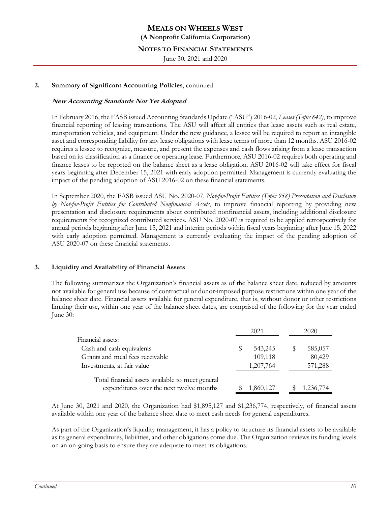#### **NOTES TO FINANCIAL STATEMENTS**

June 30, 2021 and 2020

#### **2. Summary of Significant Accounting Policies**, continued

#### **New Accounting Standards Not Yet Adopted**

In February 2016, the FASB issued Accounting Standards Update ("ASU") 2016-02, *Leases (Topic 842)*, to improve financial reporting of leasing transactions. The ASU will affect all entities that lease assets such as real estate, transportation vehicles, and equipment. Under the new guidance, a lessee will be required to report an intangible asset and corresponding liability for any lease obligations with lease terms of more than 12 months. ASU 2016-02 requires a lessee to recognize, measure, and present the expenses and cash flows arising from a lease transaction based on its classification as a finance or operating lease. Furthermore, ASU 2016-02 requires both operating and finance leases to be reported on the balance sheet as a lease obligation. ASU 2016-02 will take effect for fiscal years beginning after December 15, 2021 with early adoption permitted. Management is currently evaluating the impact of the pending adoption of ASU 2016-02 on these financial statements.

In September 2020, the FASB issued ASU No. 2020-07, *Not-for-Profit Entities (Topic 958) Presentation and Disclosure by Not-for-Profit Entities for Contributed Nonfinancial Assets*, to improve financial reporting by providing new presentation and disclosure requirements about contributed nonfinancial assets, including additional disclosure requirements for recognized contributed services. ASU No. 2020-07 is required to be applied retrospectively for annual periods beginning after June 15, 2021 and interim periods within fiscal years beginning after June 15, 2022 with early adoption permitted. Management is currently evaluating the impact of the pending adoption of ASU 2020-07 on these financial statements.

#### **3. Liquidity and Availability of Financial Assets**

The following summarizes the Organization's financial assets as of the balance sheet date, reduced by amounts not available for general use because of contractual or donor-imposed purpose restrictions within one year of the balance sheet date. Financial assets available for general expenditure, that is, without donor or other restrictions limiting their use, within one year of the balance sheet dates, are comprised of the following for the year ended June 30:

|                                                  |   | 2021      | 2020 |           |  |
|--------------------------------------------------|---|-----------|------|-----------|--|
| Financial assets:                                |   |           |      |           |  |
| Cash and cash equivalents                        | S | 543,245   | S    | 585,057   |  |
| Grants and meal fees receivable                  |   | 109,118   |      | 80,429    |  |
| Investments, at fair value                       |   | 1,207,764 |      | 571,288   |  |
| Total financial assets available to meet general |   |           |      |           |  |
| expenditures over the next twelve months         |   | 1,860,127 |      | 1,236,774 |  |

At June 30, 2021 and 2020, the Organization had \$1,895,127 and \$1,236,774, respectively, of financial assets available within one year of the balance sheet date to meet cash needs for general expenditures.

As part of the Organization's liquidity management, it has a policy to structure its financial assets to be available as its general expenditures, liabilities, and other obligations come due. The Organization reviews its funding levels on an on-going basis to ensure they are adequate to meet its obligations.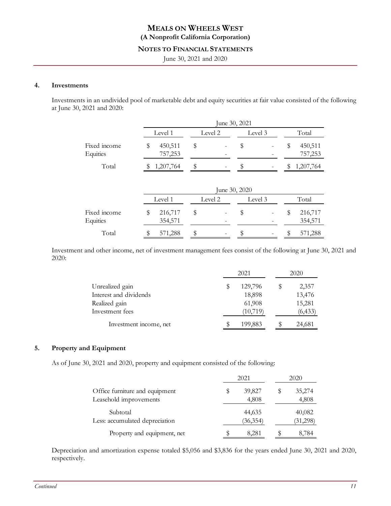#### **NOTES TO FINANCIAL STATEMENTS**

June 30, 2021 and 2020

#### **4. Investments**

Investments in an undivided pool of marketable debt and equity securities at fair value consisted of the following at June 30, 2021 and 2020:

|                          | June 30, 2021            |    |         |               |         |    |                    |
|--------------------------|--------------------------|----|---------|---------------|---------|----|--------------------|
|                          | Level 1                  |    | Level 2 |               | Level 3 |    | Total              |
| Fixed income<br>Equities | \$<br>450,511<br>757,253 | \$ |         | \$            |         | \$ | 450,511<br>757,253 |
| Total                    | 1,207,764                | \$ |         | \$            |         | \$ | 1,207,764          |
|                          |                          |    |         | June 30, 2020 |         |    |                    |
|                          | Level 1                  |    | Level 2 | Level 3       |         |    | Total              |
| Fixed income<br>Equities | \$<br>216,717<br>354,571 | \$ |         | \$            |         | \$ | 216,717<br>354,571 |
| Total                    | \$<br>571,288            | \$ |         | \$            |         | \$ | 571,288            |

Investment and other income, net of investment management fees consist of the following at June 30, 2021 and 2020:

|                        | 2021 |          | 2020 |          |
|------------------------|------|----------|------|----------|
| Unrealized gain        |      | 129,796  | S    | 2,357    |
| Interest and dividends |      | 18,898   |      | 13,476   |
| Realized gain          |      | 61,908   |      | 15,281   |
| Investment fees        |      | (10,719) |      | (6, 433) |
| Investment income, net |      | 199,883  |      | 24,681   |

#### **5. Property and Equipment**

As of June 30, 2021 and 2020, property and equipment consisted of the following:

|                                                          |   | 2021               |   | 2020               |  |
|----------------------------------------------------------|---|--------------------|---|--------------------|--|
| Office furniture and equipment<br>Leasehold improvements | S | 39,827<br>4,808    | S | 35,274<br>4,808    |  |
| Subtotal<br>Less: accumulated depreciation               |   | 44,635<br>(36,354) |   | 40,082<br>(31,298) |  |
| Property and equipment, net                              |   | 8,281              |   | 8,784              |  |

Depreciation and amortization expense totaled \$5,056 and \$3,836 for the years ended June 30, 2021 and 2020, respectively.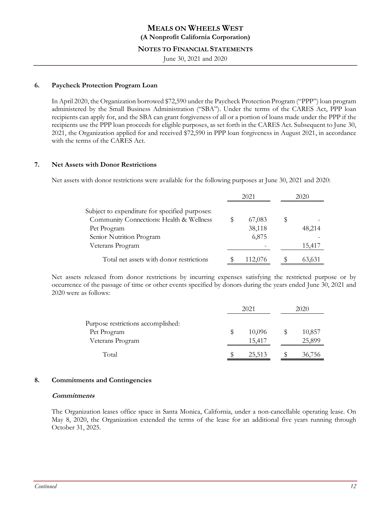**NOTES TO FINANCIAL STATEMENTS**

June 30, 2021 and 2020

#### **6. Paycheck Protection Program Loan**

In April 2020, the Organization borrowed \$72,590 under the Paycheck Protection Program ("PPP") loan program administered by the Small Business Administration ("SBA"). Under the terms of the CARES Act, PPP loan recipients can apply for, and the SBA can grant forgiveness of all or a portion of loans made under the PPP if the recipients use the PPP loan proceeds for eligible purposes, as set forth in the CARES Act. Subsequent to June 30, 2021, the Organization applied for and received \$72,590 in PPP loan forgiveness in August 2021, in accordance with the terms of the CARES Act.

#### **7. Net Assets with Donor Restrictions**

Net assets with donor restrictions were available for the following purposes at June 30, 2021 and 2020:

|                                                | 2021 |         |    | 2020   |
|------------------------------------------------|------|---------|----|--------|
| Subject to expenditure for specified purposes: |      |         |    |        |
| Community Connections: Health & Wellness       | S    | 67,083  | \$ |        |
| Pet Program                                    |      | 38,118  |    | 48,214 |
| Senior Nutrition Program                       |      | 6,875   |    |        |
| Veterans Program                               |      |         |    | 15,417 |
| Total net assets with donor restrictions       |      | 112,076 | S  | 63,631 |

Net assets released from donor restrictions by incurring expenses satisfying the restricted purpose or by occurrence of the passage of time or other events specified by donors during the years ended June 30, 2021 and 2020 were as follows:

|                                                                       | 2021                   |  | 2020             |
|-----------------------------------------------------------------------|------------------------|--|------------------|
| Purpose restrictions accomplished:<br>Pet Program<br>Veterans Program | \$<br>10,096<br>15,417 |  | 10,857<br>25,899 |
| Total                                                                 | 25,513                 |  | 36,756           |

#### **8. Commitments and Contingencies**

#### **Commitments**

The Organization leases office space in Santa Monica, California, under a non-cancellable operating lease. On May 8, 2020, the Organization extended the terms of the lease for an additional five years running through October 31, 2025.